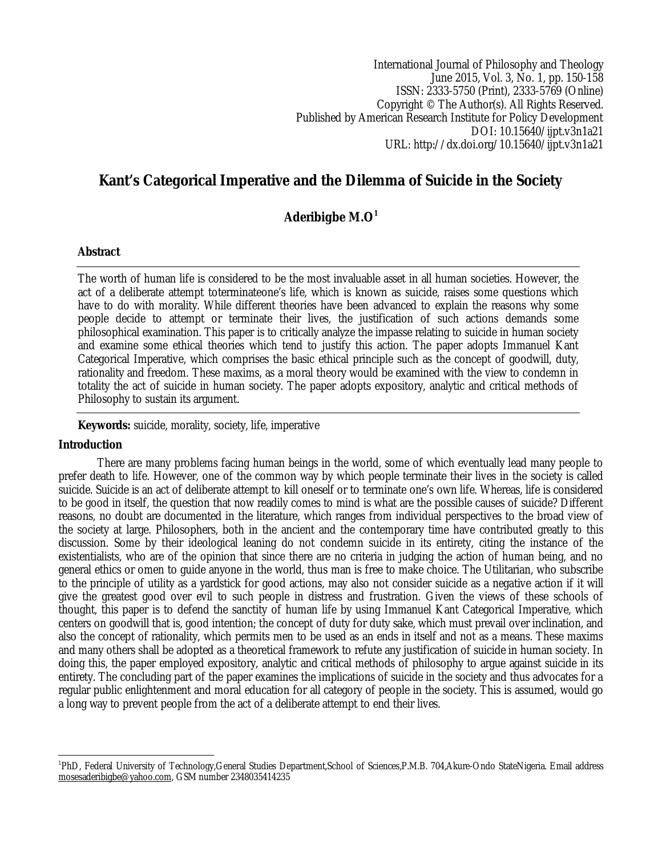International Journal of Philosophy and Theology June 2015, Vol. 3, No. 1, pp. 150-158 ISSN: 2333-5750 (Print), 2333-5769 (Online) Copyright © The Author(s). All Rights Reserved. Published by American Research Institute for Policy Development DOI: 10.15640/ijpt.v3n1a21 URL: http://dx.doi.org/10.15640/ijpt.v3n1a21

# **Kant's Categorical Imperative and the Dilemma of Suicide in the Society**

# **Aderibigbe M.O<sup>1</sup>**

# **Abstract**

The worth of human life is considered to be the most invaluable asset in all human societies. However, the act of a deliberate attempt toterminateone's life, which is known as suicide, raises some questions which have to do with morality. While different theories have been advanced to explain the reasons why some people decide to attempt or terminate their lives, the justification of such actions demands some philosophical examination. This paper is to critically analyze the impasse relating to suicide in human society and examine some ethical theories which tend to justify this action. The paper adopts Immanuel Kant Categorical Imperative, which comprises the basic ethical principle such as the concept of goodwill, duty, rationality and freedom. These maxims, as a moral theory would be examined with the view to condemn in totality the act of suicide in human society. The paper adopts expository, analytic and critical methods of Philosophy to sustain its argument.

**Keywords:** suicide, morality, society, life, imperative

## **Introduction**

There are many problems facing human beings in the world, some of which eventually lead many people to prefer death to life. However, one of the common way by which people terminate their lives in the society is called suicide. Suicide is an act of deliberate attempt to kill oneself or to terminate one's own life. Whereas, life is considered to be good in itself, the question that now readily comes to mind is what are the possible causes of suicide? Different reasons, no doubt are documented in the literature, which ranges from individual perspectives to the broad view of the society at large. Philosophers, both in the ancient and the contemporary time have contributed greatly to this discussion. Some by their ideological leaning do not condemn suicide in its entirety, citing the instance of the existentialists, who are of the opinion that since there are no criteria in judging the action of human being, and no general ethics or omen to guide anyone in the world, thus man is free to make choice. The Utilitarian, who subscribe to the principle of utility as a yardstick for good actions, may also not consider suicide as a negative action if it will give the greatest good over evil to such people in distress and frustration. Given the views of these schools of thought, this paper is to defend the sanctity of human life by using Immanuel Kant Categorical Imperative, which centers on goodwill that is, good intention; the concept of duty for duty sake, which must prevail over inclination, and also the concept of rationality, which permits men to be used as an ends in itself and not as a means. These maxims and many others shall be adopted as a theoretical framework to refute any justification of suicide in human society. In doing this, the paper employed expository, analytic and critical methods of philosophy to argue against suicide in its entirety. The concluding part of the paper examines the implications of suicide in the society and thus advocates for a regular public enlightenment and moral education for all category of people in the society. This is assumed, would go a long way to prevent people from the act of a deliberate attempt to end their lives.

 1 PhD, Federal University of Technology,General Studies Department,School of Sciences,P.M.B. 704,Akure-Ondo StateNigeria. Email address mosesaderibigbe@yahoo.com, GSM number 2348035414235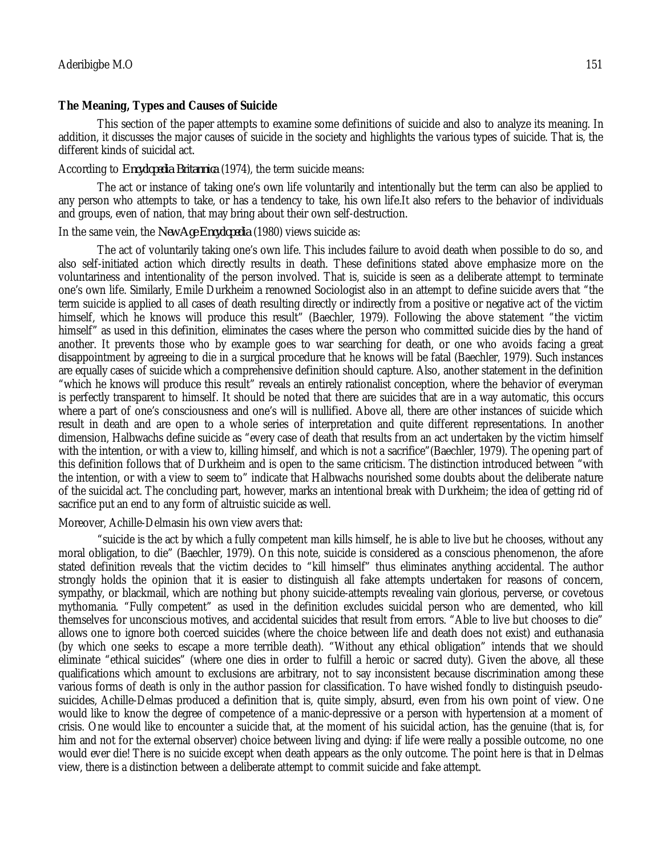#### **The Meaning, Types and Causes of Suicide**

This section of the paper attempts to examine some definitions of suicide and also to analyze its meaning. In addition, it discusses the major causes of suicide in the society and highlights the various types of suicide. That is, the different kinds of suicidal act.

#### According to *Encyclopedia Britannica* (1974), the term suicide means:

The act or instance of taking one's own life voluntarily and intentionally but the term can also be applied to any person who attempts to take, or has a tendency to take, his own life.It also refers to the behavior of individuals and groups, even of nation, that may bring about their own self-destruction.

# In the same vein, the *New Age Encyclopedia* (1980) views suicide as:

The act of voluntarily taking one's own life. This includes failure to avoid death when possible to do so, and also self-initiated action which directly results in death. These definitions stated above emphasize more on the voluntariness and intentionality of the person involved. That is, suicide is seen as a deliberate attempt to terminate one's own life. Similarly, Emile Durkheim a renowned Sociologist also in an attempt to define suicide avers that "the term suicide is applied to all cases of death resulting directly or indirectly from a positive or negative act of the victim himself, which he knows will produce this result" (Baechler, 1979). Following the above statement "the victim himself" as used in this definition, eliminates the cases where the person who committed suicide dies by the hand of another. It prevents those who by example goes to war searching for death, or one who avoids facing a great disappointment by agreeing to die in a surgical procedure that he knows will be fatal (Baechler, 1979). Such instances are equally cases of suicide which a comprehensive definition should capture. Also, another statement in the definition "which he knows will produce this result" reveals an entirely rationalist conception, where the behavior of everyman is perfectly transparent to himself. It should be noted that there are suicides that are in a way automatic, this occurs where a part of one's consciousness and one's will is nullified. Above all, there are other instances of suicide which result in death and are open to a whole series of interpretation and quite different representations. In another dimension, Halbwachs define suicide as "every case of death that results from an act undertaken by the victim himself with the intention, or with a view to, killing himself, and which is not a sacrifice"(Baechler, 1979). The opening part of this definition follows that of Durkheim and is open to the same criticism. The distinction introduced between "with the intention, or with a view to seem to" indicate that Halbwachs nourished some doubts about the deliberate nature of the suicidal act. The concluding part, however, marks an intentional break with Durkheim; the idea of getting rid of sacrifice put an end to any form of altruistic suicide as well.

#### Moreover, Achille-Delmasin his own view avers that:

"suicide is the act by which a fully competent man kills himself, he is able to live but he chooses, without any moral obligation, to die" (Baechler, 1979). On this note, suicide is considered as a conscious phenomenon, the afore stated definition reveals that the victim decides to "kill himself" thus eliminates anything accidental. The author strongly holds the opinion that it is easier to distinguish all fake attempts undertaken for reasons of concern, sympathy, or blackmail, which are nothing but phony suicide-attempts revealing vain glorious, perverse, or covetous mythomania. "Fully competent" as used in the definition excludes suicidal person who are demented, who kill themselves for unconscious motives, and accidental suicides that result from errors. "Able to live but chooses to die" allows one to ignore both coerced suicides (where the choice between life and death does not exist) and euthanasia (by which one seeks to escape a more terrible death). "Without any ethical obligation" intends that we should eliminate "ethical suicides" (where one dies in order to fulfill a heroic or sacred duty). Given the above, all these qualifications which amount to exclusions are arbitrary, not to say inconsistent because discrimination among these various forms of death is only in the author passion for classification. To have wished fondly to distinguish pseudosuicides, Achille-Delmas produced a definition that is, quite simply, absurd, even from his own point of view. One would like to know the degree of competence of a manic-depressive or a person with hypertension at a moment of crisis. One would like to encounter a suicide that, at the moment of his suicidal action, has the genuine (that is, for him and not for the external observer) choice between living and dying: if life were really a possible outcome, no one would ever die! There is no suicide except when death appears as the only outcome. The point here is that in Delmas view, there is a distinction between a deliberate attempt to commit suicide and fake attempt.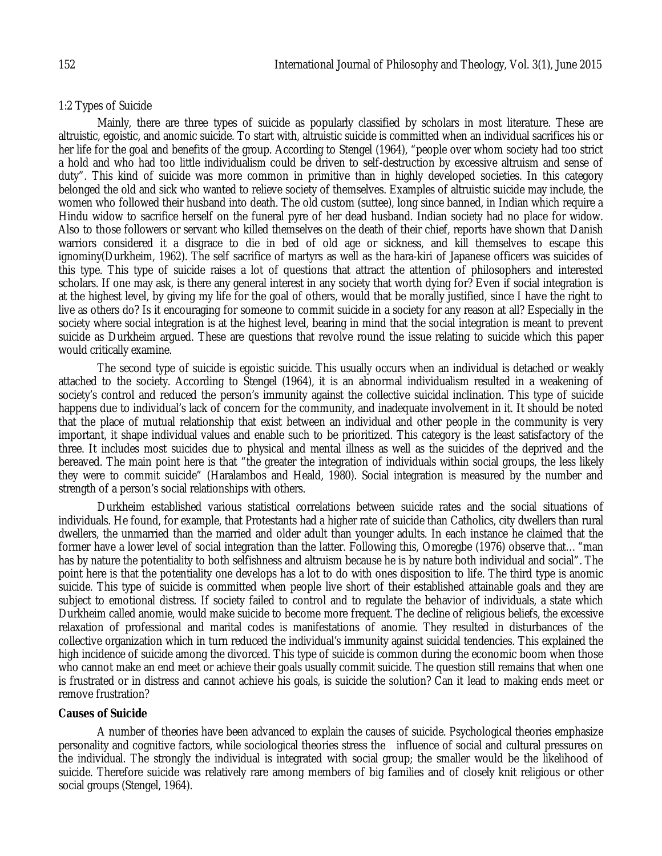#### 1:2 Types of Suicide

Mainly, there are three types of suicide as popularly classified by scholars in most literature. These are altruistic, egoistic, and anomic suicide. To start with, altruistic suicide is committed when an individual sacrifices his or her life for the goal and benefits of the group. According to Stengel (1964), "people over whom society had too strict a hold and who had too little individualism could be driven to self-destruction by excessive altruism and sense of duty". This kind of suicide was more common in primitive than in highly developed societies. In this category belonged the old and sick who wanted to relieve society of themselves. Examples of altruistic suicide may include, the women who followed their husband into death. The old custom (suttee), long since banned, in Indian which require a Hindu widow to sacrifice herself on the funeral pyre of her dead husband. Indian society had no place for widow. Also to those followers or servant who killed themselves on the death of their chief, reports have shown that Danish warriors considered it a disgrace to die in bed of old age or sickness, and kill themselves to escape this ignominy(Durkheim, 1962). The self sacrifice of martyrs as well as the hara-kiri of Japanese officers was suicides of this type. This type of suicide raises a lot of questions that attract the attention of philosophers and interested scholars. If one may ask, is there any general interest in any society that worth dying for? Even if social integration is at the highest level, by giving my life for the goal of others, would that be morally justified, since I have the right to live as others do? Is it encouraging for someone to commit suicide in a society for any reason at all? Especially in the society where social integration is at the highest level, bearing in mind that the social integration is meant to prevent suicide as Durkheim argued. These are questions that revolve round the issue relating to suicide which this paper would critically examine.

The second type of suicide is egoistic suicide. This usually occurs when an individual is detached or weakly attached to the society. According to Stengel (1964), it is an abnormal individualism resulted in a weakening of society's control and reduced the person's immunity against the collective suicidal inclination. This type of suicide happens due to individual's lack of concern for the community, and inadequate involvement in it. It should be noted that the place of mutual relationship that exist between an individual and other people in the community is very important, it shape individual values and enable such to be prioritized. This category is the least satisfactory of the three. It includes most suicides due to physical and mental illness as well as the suicides of the deprived and the bereaved. The main point here is that "the greater the integration of individuals within social groups, the less likely they were to commit suicide" (Haralambos and Heald, 1980). Social integration is measured by the number and strength of a person's social relationships with others.

Durkheim established various statistical correlations between suicide rates and the social situations of individuals. He found, for example, that Protestants had a higher rate of suicide than Catholics, city dwellers than rural dwellers, the unmarried than the married and older adult than younger adults. In each instance he claimed that the former have a lower level of social integration than the latter. Following this, Omoregbe (1976) observe that... "man has by nature the potentiality to both selfishness and altruism because he is by nature both individual and social". The point here is that the potentiality one develops has a lot to do with ones disposition to life. The third type is anomic suicide. This type of suicide is committed when people live short of their established attainable goals and they are subject to emotional distress. If society failed to control and to regulate the behavior of individuals, a state which Durkheim called anomie, would make suicide to become more frequent. The decline of religious beliefs, the excessive relaxation of professional and marital codes is manifestations of anomie. They resulted in disturbances of the collective organization which in turn reduced the individual's immunity against suicidal tendencies. This explained the high incidence of suicide among the divorced. This type of suicide is common during the economic boom when those who cannot make an end meet or achieve their goals usually commit suicide. The question still remains that when one is frustrated or in distress and cannot achieve his goals, is suicide the solution? Can it lead to making ends meet or remove frustration?

#### **Causes of Suicide**

A number of theories have been advanced to explain the causes of suicide. Psychological theories emphasize personality and cognitive factors, while sociological theories stress the influence of social and cultural pressures on the individual. The strongly the individual is integrated with social group; the smaller would be the likelihood of suicide. Therefore suicide was relatively rare among members of big families and of closely knit religious or other social groups (Stengel, 1964).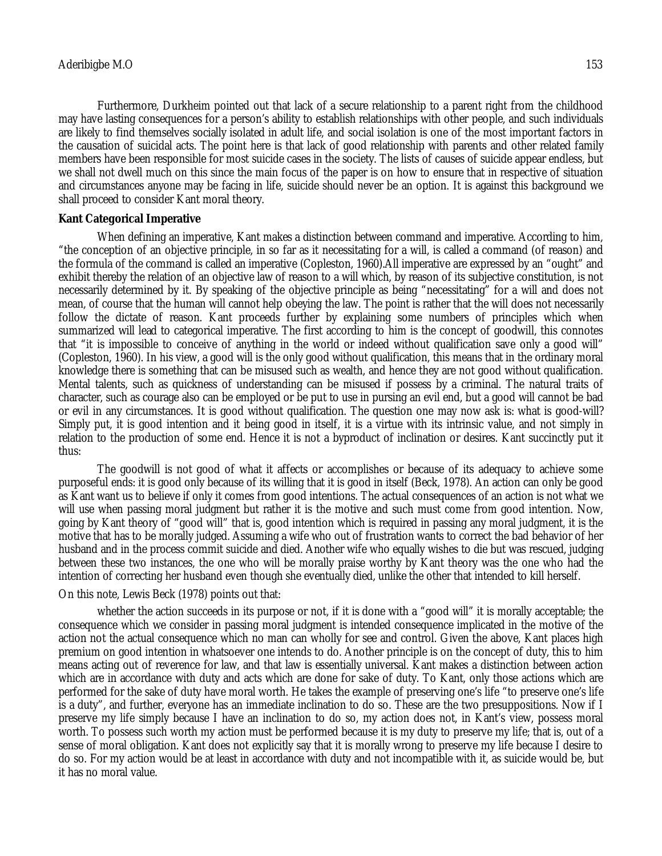Furthermore, Durkheim pointed out that lack of a secure relationship to a parent right from the childhood may have lasting consequences for a person's ability to establish relationships with other people, and such individuals are likely to find themselves socially isolated in adult life, and social isolation is one of the most important factors in the causation of suicidal acts. The point here is that lack of good relationship with parents and other related family members have been responsible for most suicide cases in the society. The lists of causes of suicide appear endless, but we shall not dwell much on this since the main focus of the paper is on how to ensure that in respective of situation and circumstances anyone may be facing in life, suicide should never be an option. It is against this background we shall proceed to consider Kant moral theory.

#### **Kant Categorical Imperative**

When defining an imperative, Kant makes a distinction between command and imperative. According to him, "the conception of an objective principle, in so far as it necessitating for a will, is called a command (of reason) and the formula of the command is called an imperative (Copleston, 1960).All imperative are expressed by an "ought" and exhibit thereby the relation of an objective law of reason to a will which, by reason of its subjective constitution, is not necessarily determined by it. By speaking of the objective principle as being "necessitating" for a will and does not mean, of course that the human will cannot help obeying the law. The point is rather that the will does not necessarily follow the dictate of reason. Kant proceeds further by explaining some numbers of principles which when summarized will lead to categorical imperative. The first according to him is the concept of goodwill, this connotes that "it is impossible to conceive of anything in the world or indeed without qualification save only a good will" (Copleston, 1960). In his view, a good will is the only good without qualification, this means that in the ordinary moral knowledge there is something that can be misused such as wealth, and hence they are not good without qualification. Mental talents, such as quickness of understanding can be misused if possess by a criminal. The natural traits of character, such as courage also can be employed or be put to use in pursing an evil end, but a good will cannot be bad or evil in any circumstances. It is good without qualification. The question one may now ask is: what is good-will? Simply put, it is good intention and it being good in itself, it is a virtue with its intrinsic value, and not simply in relation to the production of some end. Hence it is not a byproduct of inclination or desires. Kant succinctly put it thus:

The goodwill is not good of what it affects or accomplishes or because of its adequacy to achieve some purposeful ends: it is good only because of its willing that it is good in itself (Beck, 1978). An action can only be good as Kant want us to believe if only it comes from good intentions. The actual consequences of an action is not what we will use when passing moral judgment but rather it is the motive and such must come from good intention. Now, going by Kant theory of "good will" that is, good intention which is required in passing any moral judgment, it is the motive that has to be morally judged. Assuming a wife who out of frustration wants to correct the bad behavior of her husband and in the process commit suicide and died. Another wife who equally wishes to die but was rescued, judging between these two instances, the one who will be morally praise worthy by Kant theory was the one who had the intention of correcting her husband even though she eventually died, unlike the other that intended to kill herself.

## On this note, Lewis Beck (1978) points out that:

whether the action succeeds in its purpose or not, if it is done with a "good will" it is morally acceptable; the consequence which we consider in passing moral judgment is intended consequence implicated in the motive of the action not the actual consequence which no man can wholly for see and control. Given the above, Kant places high premium on good intention in whatsoever one intends to do. Another principle is on the concept of duty, this to him means acting out of reverence for law, and that law is essentially universal. Kant makes a distinction between action which are in accordance with duty and acts which are done for sake of duty. To Kant, only those actions which are performed for the sake of duty have moral worth. He takes the example of preserving one's life "to preserve one's life is a duty", and further, everyone has an immediate inclination to do so. These are the two presuppositions. Now if I preserve my life simply because I have an inclination to do so, my action does not, in Kant's view, possess moral worth. To possess such worth my action must be performed because it is my duty to preserve my life; that is, out of a sense of moral obligation. Kant does not explicitly say that it is morally wrong to preserve my life because I desire to do so. For my action would be at least in accordance with duty and not incompatible with it, as suicide would be, but it has no moral value.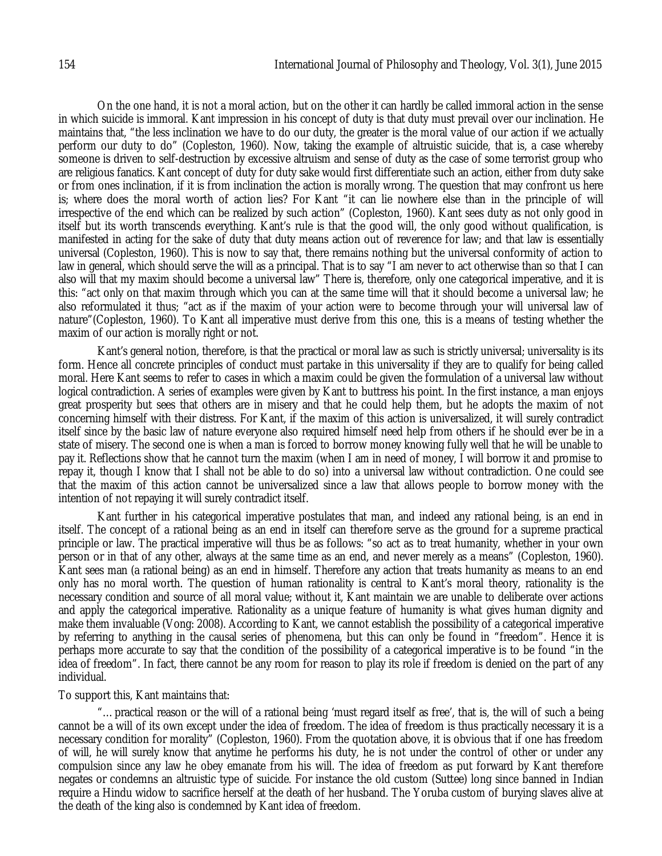On the one hand, it is not a moral action, but on the other it can hardly be called immoral action in the sense in which suicide is immoral. Kant impression in his concept of duty is that duty must prevail over our inclination. He maintains that, "the less inclination we have to do our duty, the greater is the moral value of our action if we actually perform our duty to do" (Copleston, 1960). Now, taking the example of altruistic suicide, that is, a case whereby someone is driven to self-destruction by excessive altruism and sense of duty as the case of some terrorist group who are religious fanatics. Kant concept of duty for duty sake would first differentiate such an action, either from duty sake or from ones inclination, if it is from inclination the action is morally wrong. The question that may confront us here is; where does the moral worth of action lies? For Kant "it can lie nowhere else than in the principle of will irrespective of the end which can be realized by such action" (Copleston, 1960). Kant sees duty as not only good in itself but its worth transcends everything. Kant's rule is that the good will, the only good without qualification, is manifested in acting for the sake of duty that duty means action out of reverence for law; and that law is essentially universal (Copleston, 1960). This is now to say that, there remains nothing but the universal conformity of action to law in general, which should serve the will as a principal. That is to say "I am never to act otherwise than so that I can also will that my maxim should become a universal law" There is, therefore, only one categorical imperative, and it is this: "act only on that maxim through which you can at the same time will that it should become a universal law; he also reformulated it thus; "act as if the maxim of your action were to become through your will universal law of nature"(Copleston, 1960). To Kant all imperative must derive from this one, this is a means of testing whether the maxim of our action is morally right or not.

Kant's general notion, therefore, is that the practical or moral law as such is strictly universal; universality is its form. Hence all concrete principles of conduct must partake in this universality if they are to qualify for being called moral. Here Kant seems to refer to cases in which a maxim could be given the formulation of a universal law without logical contradiction. A series of examples were given by Kant to buttress his point. In the first instance, a man enjoys great prosperity but sees that others are in misery and that he could help them, but he adopts the maxim of not concerning himself with their distress. For Kant, if the maxim of this action is universalized, it will surely contradict itself since by the basic law of nature everyone also required himself need help from others if he should ever be in a state of misery. The second one is when a man is forced to borrow money knowing fully well that he will be unable to pay it. Reflections show that he cannot turn the maxim (when I am in need of money, I will borrow it and promise to repay it, though I know that I shall not be able to do so) into a universal law without contradiction. One could see that the maxim of this action cannot be universalized since a law that allows people to borrow money with the intention of not repaying it will surely contradict itself.

Kant further in his categorical imperative postulates that man, and indeed any rational being, is an end in itself. The concept of a rational being as an end in itself can therefore serve as the ground for a supreme practical principle or law. The practical imperative will thus be as follows: "so act as to treat humanity, whether in your own person or in that of any other, always at the same time as an end, and never merely as a means" (Copleston, 1960). Kant sees man (a rational being) as an end in himself. Therefore any action that treats humanity as means to an end only has no moral worth. The question of human rationality is central to Kant's moral theory, rationality is the necessary condition and source of all moral value; without it, Kant maintain we are unable to deliberate over actions and apply the categorical imperative. Rationality as a unique feature of humanity is what gives human dignity and make them invaluable (Vong: 2008). According to Kant, we cannot establish the possibility of a categorical imperative by referring to anything in the causal series of phenomena, but this can only be found in "freedom". Hence it is perhaps more accurate to say that the condition of the possibility of a categorical imperative is to be found "in the idea of freedom". In fact, there cannot be any room for reason to play its role if freedom is denied on the part of any individual.

#### To support this, Kant maintains that:

"…practical reason or the will of a rational being 'must regard itself as free', that is, the will of such a being cannot be a will of its own except under the idea of freedom. The idea of freedom is thus practically necessary it is a necessary condition for morality" (Copleston, 1960). From the quotation above, it is obvious that if one has freedom of will, he will surely know that anytime he performs his duty, he is not under the control of other or under any compulsion since any law he obey emanate from his will. The idea of freedom as put forward by Kant therefore negates or condemns an altruistic type of suicide. For instance the old custom (Suttee) long since banned in Indian require a Hindu widow to sacrifice herself at the death of her husband. The Yoruba custom of burying slaves alive at the death of the king also is condemned by Kant idea of freedom.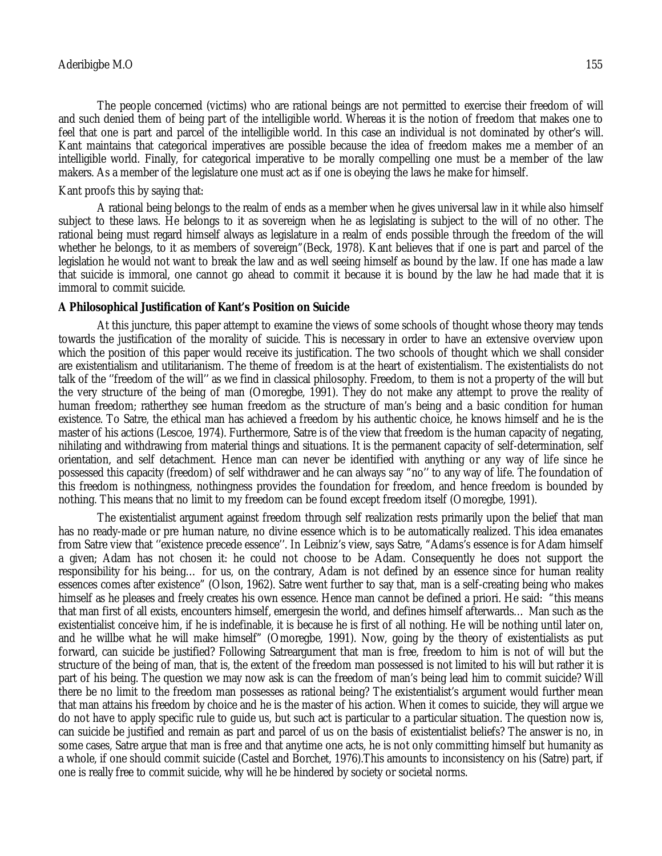The people concerned (victims) who are rational beings are not permitted to exercise their freedom of will and such denied them of being part of the intelligible world. Whereas it is the notion of freedom that makes one to feel that one is part and parcel of the intelligible world. In this case an individual is not dominated by other's will. Kant maintains that categorical imperatives are possible because the idea of freedom makes me a member of an intelligible world. Finally, for categorical imperative to be morally compelling one must be a member of the law makers. As a member of the legislature one must act as if one is obeying the laws he make for himself.

#### Kant proofs this by saying that:

A rational being belongs to the realm of ends as a member when he gives universal law in it while also himself subject to these laws. He belongs to it as sovereign when he as legislating is subject to the will of no other. The rational being must regard himself always as legislature in a realm of ends possible through the freedom of the will whether he belongs, to it as members of sovereign"(Beck, 1978). Kant believes that if one is part and parcel of the legislation he would not want to break the law and as well seeing himself as bound by the law. If one has made a law that suicide is immoral, one cannot go ahead to commit it because it is bound by the law he had made that it is immoral to commit suicide.

#### **A Philosophical Justification of Kant's Position on Suicide**

At this juncture, this paper attempt to examine the views of some schools of thought whose theory may tends towards the justification of the morality of suicide. This is necessary in order to have an extensive overview upon which the position of this paper would receive its justification. The two schools of thought which we shall consider are existentialism and utilitarianism. The theme of freedom is at the heart of existentialism. The existentialists do not talk of the ''freedom of the will'' as we find in classical philosophy. Freedom, to them is not a property of the will but the very structure of the being of man (Omoregbe, 1991). They do not make any attempt to prove the reality of human freedom; ratherthey see human freedom as the structure of man's being and a basic condition for human existence. To Satre, the ethical man has achieved a freedom by his authentic choice, he knows himself and he is the master of his actions (Lescoe, 1974). Furthermore, Satre is of the view that freedom is the human capacity of negating, nihilating and withdrawing from material things and situations. It is the permanent capacity of self-determination, self orientation, and self detachment. Hence man can never be identified with anything or any way of life since he possessed this capacity (freedom) of self withdrawer and he can always say "no'' to any way of life. The foundation of this freedom is nothingness, nothingness provides the foundation for freedom, and hence freedom is bounded by nothing. This means that no limit to my freedom can be found except freedom itself (Omoregbe, 1991).

The existentialist argument against freedom through self realization rests primarily upon the belief that man has no ready-made or pre human nature, no divine essence which is to be automatically realized. This idea emanates from Satre view that ''existence precede essence''. In Leibniz's view, says Satre, "Adams's essence is for Adam himself a given; Adam has not chosen it: he could not choose to be Adam. Consequently he does not support the responsibility for his being… for us, on the contrary, Adam is not defined by an essence since for human reality essences comes after existence" (Olson, 1962). Satre went further to say that, man is a self-creating being who makes himself as he pleases and freely creates his own essence. Hence man cannot be defined a priori. He said: "this means that man first of all exists, encounters himself, emergesin the world, and defines himself afterwards… Man such as the existentialist conceive him, if he is indefinable, it is because he is first of all nothing. He will be nothing until later on, and he willbe what he will make himself" (Omoregbe, 1991). Now, going by the theory of existentialists as put forward, can suicide be justified? Following Satreargument that man is free, freedom to him is not of will but the structure of the being of man, that is, the extent of the freedom man possessed is not limited to his will but rather it is part of his being. The question we may now ask is can the freedom of man's being lead him to commit suicide? Will there be no limit to the freedom man possesses as rational being? The existentialist's argument would further mean that man attains his freedom by choice and he is the master of his action. When it comes to suicide, they will argue we do not have to apply specific rule to guide us, but such act is particular to a particular situation. The question now is, can suicide be justified and remain as part and parcel of us on the basis of existentialist beliefs? The answer is no, in some cases, Satre argue that man is free and that anytime one acts, he is not only committing himself but humanity as a whole, if one should commit suicide (Castel and Borchet, 1976).This amounts to inconsistency on his (Satre) part, if one is really free to commit suicide, why will he be hindered by society or societal norms.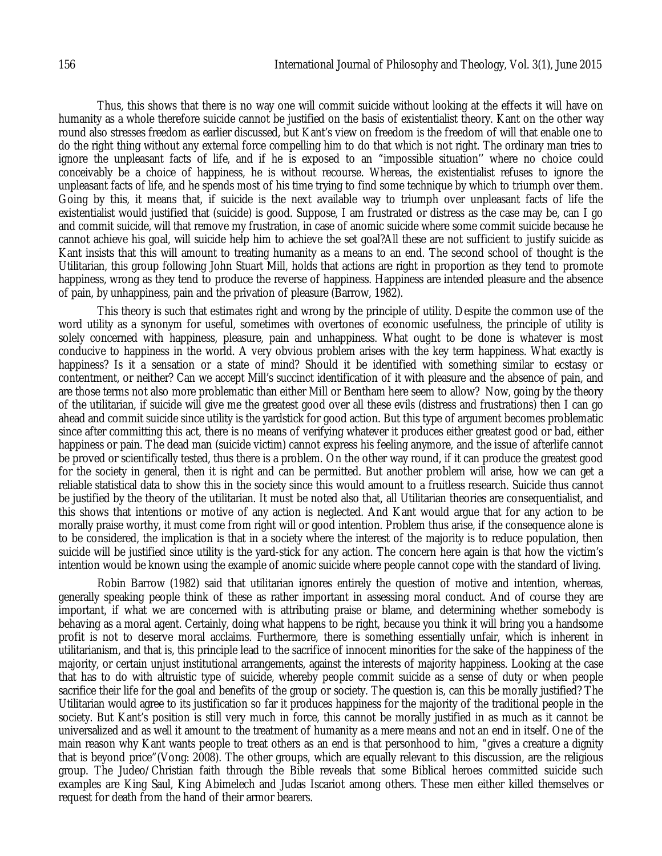Thus, this shows that there is no way one will commit suicide without looking at the effects it will have on humanity as a whole therefore suicide cannot be justified on the basis of existentialist theory. Kant on the other way round also stresses freedom as earlier discussed, but Kant's view on freedom is the freedom of will that enable one to do the right thing without any external force compelling him to do that which is not right. The ordinary man tries to ignore the unpleasant facts of life, and if he is exposed to an "impossible situation'' where no choice could conceivably be a choice of happiness, he is without recourse. Whereas, the existentialist refuses to ignore the unpleasant facts of life, and he spends most of his time trying to find some technique by which to triumph over them. Going by this, it means that, if suicide is the next available way to triumph over unpleasant facts of life the existentialist would justified that (suicide) is good. Suppose, I am frustrated or distress as the case may be, can I go and commit suicide, will that remove my frustration, in case of anomic suicide where some commit suicide because he cannot achieve his goal, will suicide help him to achieve the set goal?All these are not sufficient to justify suicide as Kant insists that this will amount to treating humanity as a means to an end. The second school of thought is the Utilitarian, this group following John Stuart Mill, holds that actions are right in proportion as they tend to promote happiness, wrong as they tend to produce the reverse of happiness. Happiness are intended pleasure and the absence of pain, by unhappiness, pain and the privation of pleasure (Barrow, 1982).

This theory is such that estimates right and wrong by the principle of utility. Despite the common use of the word utility as a synonym for useful, sometimes with overtones of economic usefulness, the principle of utility is solely concerned with happiness, pleasure, pain and unhappiness. What ought to be done is whatever is most conducive to happiness in the world. A very obvious problem arises with the key term happiness. What exactly is happiness? Is it a sensation or a state of mind? Should it be identified with something similar to ecstasy or contentment, or neither? Can we accept Mill's succinct identification of it with pleasure and the absence of pain, and are those terms not also more problematic than either Mill or Bentham here seem to allow? Now, going by the theory of the utilitarian, if suicide will give me the greatest good over all these evils (distress and frustrations) then I can go ahead and commit suicide since utility is the yardstick for good action. But this type of argument becomes problematic since after committing this act, there is no means of verifying whatever it produces either greatest good or bad, either happiness or pain. The dead man (suicide victim) cannot express his feeling anymore, and the issue of afterlife cannot be proved or scientifically tested, thus there is a problem. On the other way round, if it can produce the greatest good for the society in general, then it is right and can be permitted. But another problem will arise, how we can get a reliable statistical data to show this in the society since this would amount to a fruitless research. Suicide thus cannot be justified by the theory of the utilitarian. It must be noted also that, all Utilitarian theories are consequentialist, and this shows that intentions or motive of any action is neglected. And Kant would argue that for any action to be morally praise worthy, it must come from right will or good intention. Problem thus arise, if the consequence alone is to be considered, the implication is that in a society where the interest of the majority is to reduce population, then suicide will be justified since utility is the yard-stick for any action. The concern here again is that how the victim's intention would be known using the example of anomic suicide where people cannot cope with the standard of living.

Robin Barrow (1982) said that utilitarian ignores entirely the question of motive and intention, whereas, generally speaking people think of these as rather important in assessing moral conduct. And of course they are important, if what we are concerned with is attributing praise or blame, and determining whether somebody is behaving as a moral agent. Certainly, doing what happens to be right, because you think it will bring you a handsome profit is not to deserve moral acclaims. Furthermore, there is something essentially unfair, which is inherent in utilitarianism, and that is, this principle lead to the sacrifice of innocent minorities for the sake of the happiness of the majority, or certain unjust institutional arrangements, against the interests of majority happiness. Looking at the case that has to do with altruistic type of suicide, whereby people commit suicide as a sense of duty or when people sacrifice their life for the goal and benefits of the group or society. The question is, can this be morally justified? The Utilitarian would agree to its justification so far it produces happiness for the majority of the traditional people in the society. But Kant's position is still very much in force, this cannot be morally justified in as much as it cannot be universalized and as well it amount to the treatment of humanity as a mere means and not an end in itself. One of the main reason why Kant wants people to treat others as an end is that personhood to him, "gives a creature a dignity that is beyond price"(Vong: 2008). The other groups, which are equally relevant to this discussion, are the religious group. The Judeo/Christian faith through the Bible reveals that some Biblical heroes committed suicide such examples are King Saul, King Abimelech and Judas Iscariot among others. These men either killed themselves or request for death from the hand of their armor bearers.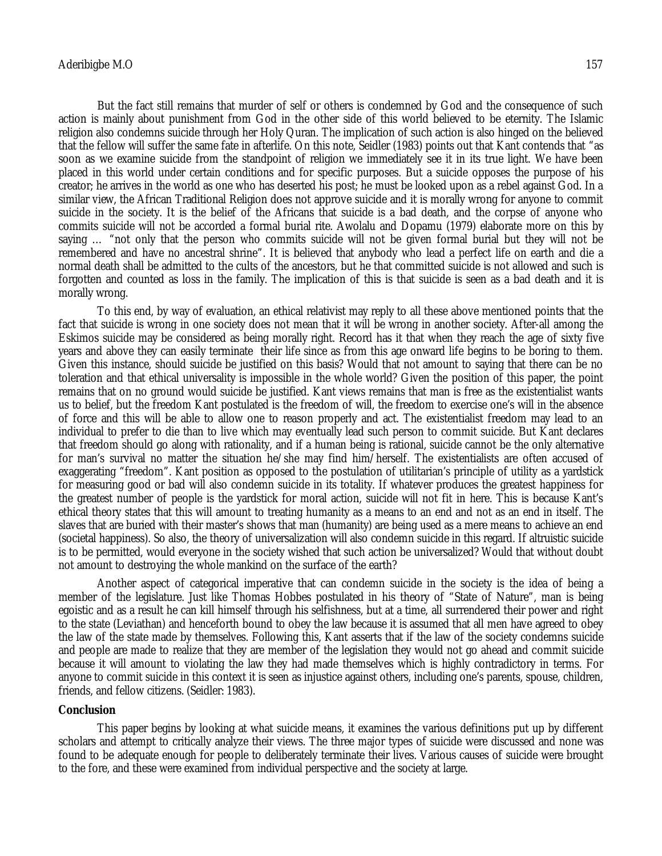But the fact still remains that murder of self or others is condemned by God and the consequence of such action is mainly about punishment from God in the other side of this world believed to be eternity. The Islamic religion also condemns suicide through her Holy Quran. The implication of such action is also hinged on the believed that the fellow will suffer the same fate in afterlife. On this note, Seidler (1983) points out that Kant contends that "as soon as we examine suicide from the standpoint of religion we immediately see it in its true light. We have been placed in this world under certain conditions and for specific purposes. But a suicide opposes the purpose of his creator; he arrives in the world as one who has deserted his post; he must be looked upon as a rebel against God. In a similar view, the African Traditional Religion does not approve suicide and it is morally wrong for anyone to commit suicide in the society. It is the belief of the Africans that suicide is a bad death, and the corpse of anyone who commits suicide will not be accorded a formal burial rite. Awolalu and Dopamu (1979) elaborate more on this by saying … "not only that the person who commits suicide will not be given formal burial but they will not be remembered and have no ancestral shrine". It is believed that anybody who lead a perfect life on earth and die a normal death shall be admitted to the cults of the ancestors, but he that committed suicide is not allowed and such is forgotten and counted as loss in the family. The implication of this is that suicide is seen as a bad death and it is morally wrong.

To this end, by way of evaluation, an ethical relativist may reply to all these above mentioned points that the fact that suicide is wrong in one society does not mean that it will be wrong in another society. After-all among the Eskimos suicide may be considered as being morally right. Record has it that when they reach the age of sixty five years and above they can easily terminate their life since as from this age onward life begins to be boring to them. Given this instance, should suicide be justified on this basis? Would that not amount to saying that there can be no toleration and that ethical universality is impossible in the whole world? Given the position of this paper, the point remains that on no ground would suicide be justified. Kant views remains that man is free as the existentialist wants us to belief, but the freedom Kant postulated is the freedom of will, the freedom to exercise one's will in the absence of force and this will be able to allow one to reason properly and act. The existentialist freedom may lead to an individual to prefer to die than to live which may eventually lead such person to commit suicide. But Kant declares that freedom should go along with rationality, and if a human being is rational, suicide cannot be the only alternative for man's survival no matter the situation he/she may find him/herself. The existentialists are often accused of exaggerating "freedom". Kant position as opposed to the postulation of utilitarian's principle of utility as a yardstick for measuring good or bad will also condemn suicide in its totality. If whatever produces the greatest happiness for the greatest number of people is the yardstick for moral action, suicide will not fit in here. This is because Kant's ethical theory states that this will amount to treating humanity as a means to an end and not as an end in itself. The slaves that are buried with their master's shows that man (humanity) are being used as a mere means to achieve an end (societal happiness). So also, the theory of universalization will also condemn suicide in this regard. If altruistic suicide is to be permitted, would everyone in the society wished that such action be universalized? Would that without doubt not amount to destroying the whole mankind on the surface of the earth?

Another aspect of categorical imperative that can condemn suicide in the society is the idea of being a member of the legislature. Just like Thomas Hobbes postulated in his theory of "State of Nature", man is being egoistic and as a result he can kill himself through his selfishness, but at a time, all surrendered their power and right to the state (Leviathan) and henceforth bound to obey the law because it is assumed that all men have agreed to obey the law of the state made by themselves. Following this, Kant asserts that if the law of the society condemns suicide and people are made to realize that they are member of the legislation they would not go ahead and commit suicide because it will amount to violating the law they had made themselves which is highly contradictory in terms. For anyone to commit suicide in this context it is seen as injustice against others, including one's parents, spouse, children, friends, and fellow citizens. (Seidler: 1983).

#### **Conclusion**

This paper begins by looking at what suicide means, it examines the various definitions put up by different scholars and attempt to critically analyze their views. The three major types of suicide were discussed and none was found to be adequate enough for people to deliberately terminate their lives. Various causes of suicide were brought to the fore, and these were examined from individual perspective and the society at large.